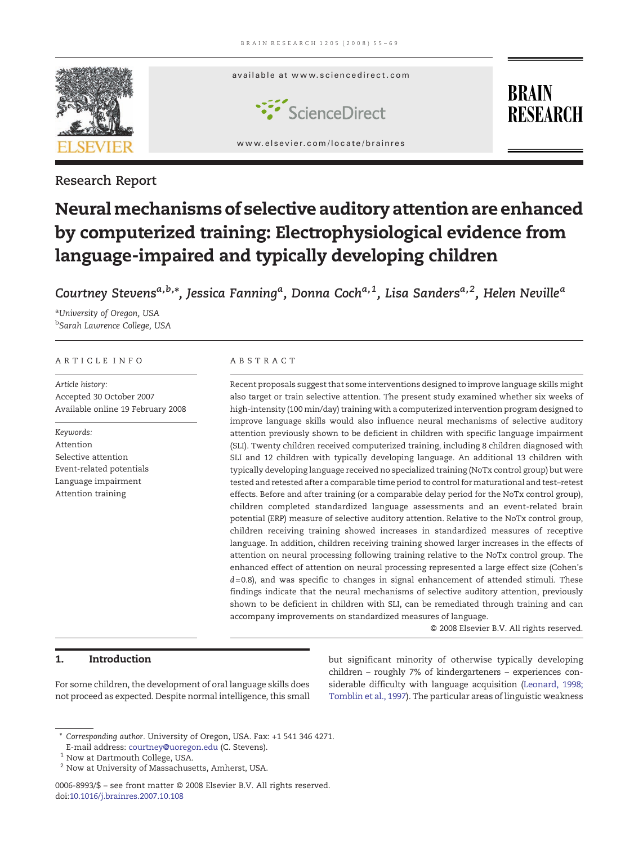

Research Report

# Neuralmechanisms of selective auditory attention are enhanced by computerized training: Electrophysiological evidence from language-impaired and typically developing children

Courtney Stevens<sup>a,b,</sup>\*, Jessica Fanning<sup>a</sup>, Donna Coch<sup>a,1</sup>, Lisa Sanders<sup>a,2</sup>, Helen Neville<sup>a</sup>

<sup>a</sup>University of Oregon, USA <sup>b</sup>Sarah Lawrence College, USA

# ARTICLE INFO ABSTRACT

Article history: Accepted 30 October 2007 Available online 19 February 2008

Keywords: Attention Selective attention Event-related potentials Language impairment Attention training

Recent proposals suggest that some interventions designed to improve language skills might also target or train selective attention. The present study examined whether six weeks of high-intensity (100 min/day) training with a computerized intervention program designed to improve language skills would also influence neural mechanisms of selective auditory attention previously shown to be deficient in children with specific language impairment (SLI). Twenty children received computerized training, including 8 children diagnosed with SLI and 12 children with typically developing language. An additional 13 children with typically developing language received no specialized training (NoTx control group) but were tested and retested after a comparable time period to control for maturational and test–retest effects. Before and after training (or a comparable delay period for the NoTx control group), children completed standardized language assessments and an event-related brain potential (ERP) measure of selective auditory attention. Relative to the NoTx control group, children receiving training showed increases in standardized measures of receptive language. In addition, children receiving training showed larger increases in the effects of attention on neural processing following training relative to the NoTx control group. The enhanced effect of attention on neural processing represented a large effect size (Cohen's  $d = 0.8$ ), and was specific to changes in signal enhancement of attended stimuli. These findings indicate that the neural mechanisms of selective auditory attention, previously shown to be deficient in children with SLI, can be remediated through training and can accompany improvements on standardized measures of language.

© 2008 Elsevier B.V. All rights reserved.

# 1. Introduction

For some children, the development of oral language skills does not proceed as expected. Despite normal intelligence, this small but significant minority of otherwise typically developing children – roughly 7% of kindergarteners – experiences considerable difficulty with language acquisition [\(Leonard, 1998;](#page-13-0) [Tomblin et al., 1997\)](#page-13-0). The particular areas of linguistic weakness

<sup>⁎</sup> Corresponding author. University of Oregon, USA. Fax: +1 541 346 4271. E-mail address: [courtney@uoregon.edu](mailto:courtney@uoregon.edu) (C. Stevens).

<sup>&</sup>lt;sup>1</sup> Now at Dartmouth College, USA.

<sup>&</sup>lt;sup>2</sup> Now at University of Massachusetts, Amherst, USA.

<sup>0006-8993/\$</sup> – see front matter © 2008 Elsevier B.V. All rights reserved. doi[:10.1016/j.brainres.2007.10.108](http://dx.doi.org/10.1016/j.brainres.2007.10.108)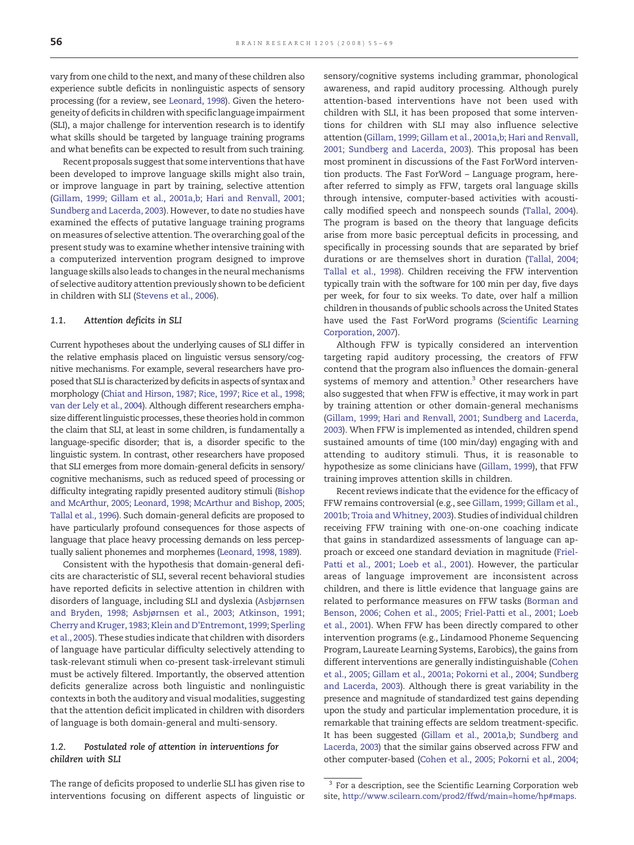vary from one child to the next, and many of these children also experience subtle deficits in nonlinguistic aspects of sensory processing (for a review, see [Leonard, 1998\)](#page-13-0). Given the heterogeneity of deficits in children with specific language impairment (SLI), a major challenge for intervention research is to identify what skills should be targeted by language training programs and what benefits can be expected to result from such training.

Recent proposals suggest that some interventions that have been developed to improve language skills might also train, or improve language in part by training, selective attention ([Gillam, 1999; Gillam et al., 2001a,b; Hari and Renvall, 2001;](#page-13-0) [Sundberg and Lacerda, 2003\)](#page-13-0). However, to date no studies have examined the effects of putative language training programs on measures of selective attention. The overarching goal of the present study was to examine whether intensive training with a computerized intervention program designed to improve language skills also leads to changes in the neural mechanisms of selective auditory attention previously shown to be deficient in children with SLI ([Stevens et al., 2006\)](#page-14-0).

#### 1.1. Attention deficits in SLI

Current hypotheses about the underlying causes of SLI differ in the relative emphasis placed on linguistic versus sensory/cognitive mechanisms. For example, several researchers have proposed that SLI is characterized by deficits in aspects of syntax and morphology [\(Chiat and Hirson, 1987; Rice, 1997; Rice et al., 1998;](#page-13-0) [van der Lely et al., 2004\)](#page-13-0). Although different researchers emphasize different linguistic processes, these theories hold in common the claim that SLI, at least in some children, is fundamentally a language-specific disorder; that is, a disorder specific to the linguistic system. In contrast, other researchers have proposed that SLI emerges from more domain-general deficits in sensory/ cognitive mechanisms, such as reduced speed of processing or difficulty integrating rapidly presented auditory stimuli ([Bishop](#page-12-0) [and McArthur, 2005; Leonard, 1998; McArthur and Bishop, 2005;](#page-12-0) [Tallal et al., 1996](#page-12-0)). Such domain-general deficits are proposed to have particularly profound consequences for those aspects of language that place heavy processing demands on less perceptually salient phonemes and morphemes [\(Leonard, 1998, 1989\)](#page-13-0).

Consistent with the hypothesis that domain-general deficits are characteristic of SLI, several recent behavioral studies have reported deficits in selective attention in children with disorders of language, including SLI and dyslexia [\(Asbjørnsen](#page-12-0) [and Bryden, 1998; Asbjørnsen et al., 2003; Atkinson, 1991;](#page-12-0) [Cherry and Kruger, 1983; Klein and D'Entremont, 1999; Sperling](#page-12-0) [et al., 2005\)](#page-12-0). These studies indicate that children with disorders of language have particular difficulty selectively attending to task-relevant stimuli when co-present task-irrelevant stimuli must be actively filtered. Importantly, the observed attention deficits generalize across both linguistic and nonlinguistic contexts in both the auditory and visual modalities, suggesting that the attention deficit implicated in children with disorders of language is both domain-general and multi-sensory.

# 1.2. Postulated role of attention in interventions for children with SLI

The range of deficits proposed to underlie SLI has given rise to interventions focusing on different aspects of linguistic or

sensory/cognitive systems including grammar, phonological awareness, and rapid auditory processing. Although purely attention-based interventions have not been used with children with SLI, it has been proposed that some interventions for children with SLI may also influence selective attention [\(Gillam, 1999; Gillam et al., 2001a,b; Hari and Renvall,](#page-13-0) [2001; Sundberg and Lacerda, 2003\)](#page-13-0). This proposal has been most prominent in discussions of the Fast ForWord intervention products. The Fast ForWord – Language program, hereafter referred to simply as FFW, targets oral language skills through intensive, computer-based activities with acoustically modified speech and nonspeech sounds ([Tallal, 2004\)](#page-14-0). The program is based on the theory that language deficits arise from more basic perceptual deficits in processing, and specifically in processing sounds that are separated by brief durations or are themselves short in duration [\(Tallal, 2004;](#page-14-0) [Tallal et al., 1998\)](#page-14-0). Children receiving the FFW intervention typically train with the software for 100 min per day, five days per week, for four to six weeks. To date, over half a million children in thousands of public schools across the United States have used the Fast ForWord programs [\(Scientific Learning](#page-13-0) [Corporation, 2007](#page-13-0)).

Although FFW is typically considered an intervention targeting rapid auditory processing, the creators of FFW contend that the program also influences the domain-general systems of memory and attention.3 Other researchers have also suggested that when FFW is effective, it may work in part by training attention or other domain-general mechanisms ([Gillam, 1999; Hari and Renvall, 2001; Sundberg and Lacerda,](#page-13-0) [2003\)](#page-13-0). When FFW is implemented as intended, children spend sustained amounts of time (100 min/day) engaging with and attending to auditory stimuli. Thus, it is reasonable to hypothesize as some clinicians have [\(Gillam, 1999](#page-13-0)), that FFW training improves attention skills in children.

Recent reviews indicate that the evidence for the efficacy of FFW remains controversial (e.g., see [Gillam, 1999; Gillam et al.,](#page-13-0) [2001b; Troia and Whitney, 2003](#page-13-0)). Studies of individual children receiving FFW training with one-on-one coaching indicate that gains in standardized assessments of language can approach or exceed one standard deviation in magnitude [\(Friel-](#page-13-0)[Patti et al., 2001; Loeb et al., 2001\)](#page-13-0). However, the particular areas of language improvement are inconsistent across children, and there is little evidence that language gains are related to performance measures on FFW tasks [\(Borman and](#page-13-0) [Benson, 2006; Cohen et al., 2005; Friel-Patti et al., 2001; Loeb](#page-13-0) [et al., 2001](#page-13-0)). When FFW has been directly compared to other intervention programs (e.g., Lindamood Phoneme Sequencing Program, Laureate Learning Systems, Earobics), the gains from different interventions are generally indistinguishable [\(Cohen](#page-13-0) [et al., 2005; Gillam et al., 2001a; Pokorni et al., 2004; Sundberg](#page-13-0) [and Lacerda, 2003](#page-13-0)). Although there is great variability in the presence and magnitude of standardized test gains depending upon the study and particular implementation procedure, it is remarkable that training effects are seldom treatment-specific. It has been suggested [\(Gillam et al., 2001a,b; Sundberg and](#page-13-0) [Lacerda, 2003\)](#page-13-0) that the similar gains observed across FFW and other computer-based ([Cohen et al., 2005; Pokorni et al., 2004;](#page-13-0)

<sup>&</sup>lt;sup>3</sup> For a description, see the Scientific Learning Corporation web site, [http://www.scilearn.com/prod2/ffwd/main=home/hp#maps.](http://www.scilearn.com/prod2/ffwd/main=home/hp#maps)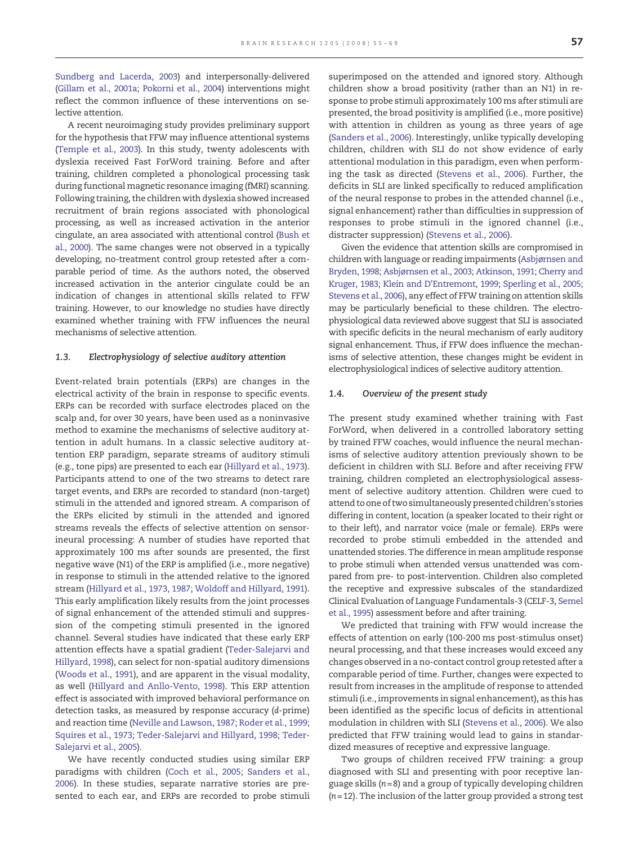[Sundberg and Lacerda, 2003\)](#page-13-0) and interpersonally-delivered [\(Gillam et al., 2001a; Pokorni et al., 2004](#page-13-0)) interventions might reflect the common influence of these interventions on selective attention.

A recent neuroimaging study provides preliminary support for the hypothesis that FFW may influence attentional systems [\(Temple et al., 2003\)](#page-14-0). In this study, twenty adolescents with dyslexia received Fast ForWord training. Before and after training, children completed a phonological processing task during functional magnetic resonance imaging (fMRI) scanning. Following training, the children with dyslexia showed increased recruitment of brain regions associated with phonological processing, as well as increased activation in the anterior cingulate, an area associated with attentional control [\(Bush et](#page-13-0) [al., 2000](#page-13-0)). The same changes were not observed in a typically developing, no-treatment control group retested after a comparable period of time. As the authors noted, the observed increased activation in the anterior cingulate could be an indication of changes in attentional skills related to FFW training. However, to our knowledge no studies have directly examined whether training with FFW influences the neural mechanisms of selective attention.

#### 1.3. Electrophysiology of selective auditory attention

Event-related brain potentials (ERPs) are changes in the electrical activity of the brain in response to specific events. ERPs can be recorded with surface electrodes placed on the scalp and, for over 30 years, have been used as a noninvasive method to examine the mechanisms of selective auditory attention in adult humans. In a classic selective auditory attention ERP paradigm, separate streams of auditory stimuli (e.g., tone pips) are presented to each ear [\(Hillyard et al., 1973](#page-13-0)). Participants attend to one of the two streams to detect rare target events, and ERPs are recorded to standard (non-target) stimuli in the attended and ignored stream. A comparison of the ERPs elicited by stimuli in the attended and ignored streams reveals the effects of selective attention on sensorineural processing: A number of studies have reported that approximately 100 ms after sounds are presented, the first negative wave (N1) of the ERP is amplified (i.e., more negative) in response to stimuli in the attended relative to the ignored stream ([Hillyard et al., 1973, 1987; Woldoff and Hillyard, 1991](#page-13-0)). This early amplification likely results from the joint processes of signal enhancement of the attended stimuli and suppression of the competing stimuli presented in the ignored channel. Several studies have indicated that these early ERP attention effects have a spatial gradient [\(Teder-Salejarvi and](#page-14-0) [Hillyard, 1998](#page-14-0)), can select for non-spatial auditory dimensions [\(Woods et al., 1991](#page-14-0)), and are apparent in the visual modality, as well ([Hillyard and Anllo-Vento, 1998\)](#page-13-0). This ERP attention effect is associated with improved behavioral performance on detection tasks, as measured by response accuracy (d-prime) and reaction time [\(Neville and Lawson, 1987; Roder et al., 1999;](#page-13-0) [Squires et al., 1973; Teder-Salejarvi and Hillyard, 1998; Teder-](#page-13-0)[Salejarvi et al., 2005\)](#page-13-0).

We have recently conducted studies using similar ERP paradigms with children [\(Coch et al., 2005; Sanders et al.,](#page-13-0) [2006](#page-13-0)). In these studies, separate narrative stories are presented to each ear, and ERPs are recorded to probe stimuli

superimposed on the attended and ignored story. Although children show a broad positivity (rather than an N1) in response to probe stimuli approximately 100 ms after stimuli are presented, the broad positivity is amplified (i.e., more positive) with attention in children as young as three years of age [\(Sanders et al., 2006](#page-13-0)). Interestingly, unlike typically developing children, children with SLI do not show evidence of early attentional modulation in this paradigm, even when performing the task as directed ([Stevens et al., 2006\)](#page-14-0). Further, the deficits in SLI are linked specifically to reduced amplification of the neural response to probes in the attended channel (i.e., signal enhancement) rather than difficulties in suppression of responses to probe stimuli in the ignored channel (i.e., distracter suppression) [\(Stevens et al., 2006\)](#page-14-0).

Given the evidence that attention skills are compromised in children with language or reading impairments [\(Asbjørnsen and](#page-12-0) [Bryden, 1998; Asbjørnsen et al., 2003; Atkinson, 1991; Cherry and](#page-12-0) [Kruger, 1983; Klein and D'Entremont, 1999; Sperling et al., 2005;](#page-12-0) [Stevens et al., 2006](#page-12-0)), any effect of FFW training on attention skills may be particularly beneficial to these children. The electrophysiological data reviewed above suggest that SLI is associated with specific deficits in the neural mechanism of early auditory signal enhancement. Thus, if FFW does influence the mechanisms of selective attention, these changes might be evident in electrophysiological indices of selective auditory attention.

#### 1.4. Overview of the present study

The present study examined whether training with Fast ForWord, when delivered in a controlled laboratory setting by trained FFW coaches, would influence the neural mechanisms of selective auditory attention previously shown to be deficient in children with SLI. Before and after receiving FFW training, children completed an electrophysiological assessment of selective auditory attention. Children were cued to attend to one of two simultaneously presented children's stories differing in content, location (a speaker located to their right or to their left), and narrator voice (male or female). ERPs were recorded to probe stimuli embedded in the attended and unattended stories. The difference in mean amplitude response to probe stimuli when attended versus unattended was compared from pre- to post-intervention. Children also completed the receptive and expressive subscales of the standardized Clinical Evaluation of Language Fundamentals-3 (CELF-3, [Semel](#page-13-0) [et al., 1995\)](#page-13-0) assessment before and after training.

We predicted that training with FFW would increase the effects of attention on early (100-200 ms post-stimulus onset) neural processing, and that these increases would exceed any changes observed in a no-contact control group retested after a comparable period of time. Further, changes were expected to result from increases in the amplitude of response to attended stimuli (i.e., improvements in signal enhancement), as this has been identified as the specific locus of deficits in attentional modulation in children with SLI [\(Stevens et al., 2006](#page-14-0)). We also predicted that FFW training would lead to gains in standardized measures of receptive and expressive language.

Two groups of children received FFW training: a group diagnosed with SLI and presenting with poor receptive language skills ( $n = 8$ ) and a group of typically developing children  $(n = 12)$ . The inclusion of the latter group provided a strong test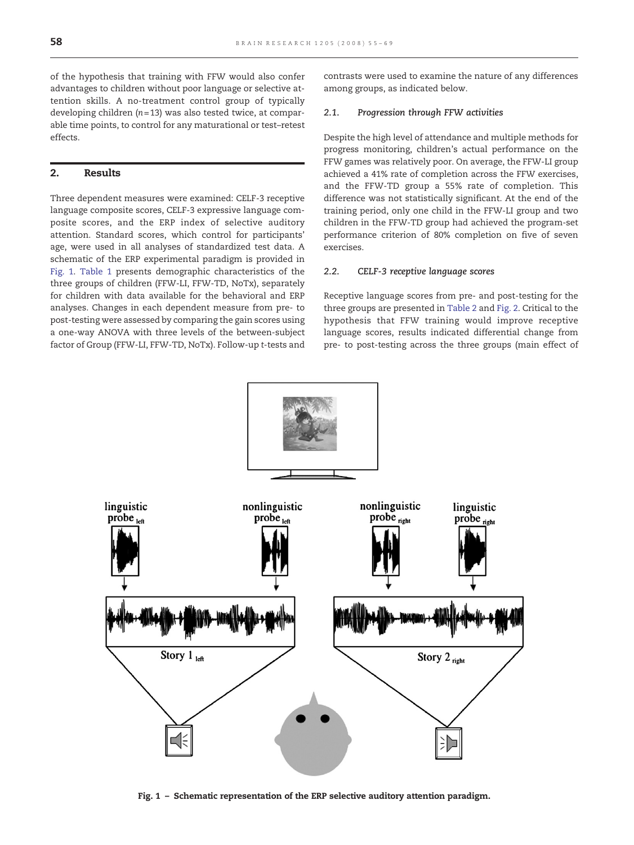<span id="page-3-0"></span>of the hypothesis that training with FFW would also confer advantages to children without poor language or selective attention skills. A no-treatment control group of typically developing children ( $n= 13$ ) was also tested twice, at comparable time points, to control for any maturational or test–retest effects.

# 2. Results

Three dependent measures were examined: CELF-3 receptive language composite scores, CELF-3 expressive language composite scores, and the ERP index of selective auditory attention. Standard scores, which control for participants' age, were used in all analyses of standardized test data. A schematic of the ERP experimental paradigm is provided in Fig. 1. [Table 1](#page-4-0) presents demographic characteristics of the three groups of children (FFW-LI, FFW-TD, NoTx), separately for children with data available for the behavioral and ERP analyses. Changes in each dependent measure from pre- to post-testing were assessed by comparing the gain scores using a one-way ANOVA with three levels of the between-subject factor of Group (FFW-LI, FFW-TD, NoTx). Follow-up t-tests and

contrasts were used to examine the nature of any differences among groups, as indicated below.

# 2.1. Progression through FFW activities

Despite the high level of attendance and multiple methods for progress monitoring, children's actual performance on the FFW games was relatively poor. On average, the FFW-LI group achieved a 41% rate of completion across the FFW exercises, and the FFW-TD group a 55% rate of completion. This difference was not statistically significant. At the end of the training period, only one child in the FFW-LI group and two children in the FFW-TD group had achieved the program-set performance criterion of 80% completion on five of seven exercises.

# 2.2. CELF-3 receptive language scores

Receptive language scores from pre- and post-testing for the three groups are presented in [Table 2](#page-4-0) and [Fig. 2.](#page-4-0) Critical to the hypothesis that FFW training would improve receptive language scores, results indicated differential change from pre- to post-testing across the three groups (main effect of



Fig. 1 – Schematic representation of the ERP selective auditory attention paradigm.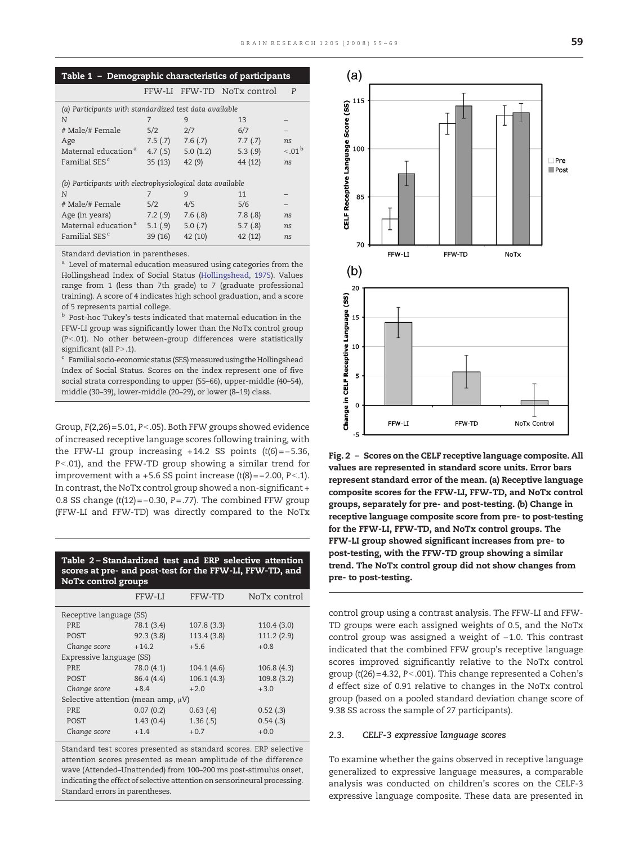<span id="page-4-0"></span>

| Table 1 - Demographic characteristics of participants |  |  |                              |  |  |  |  |
|-------------------------------------------------------|--|--|------------------------------|--|--|--|--|
|                                                       |  |  | FFW-LI FFW-TD NoTx control P |  |  |  |  |

| (a) Participants with standardized test data available    |         |            |         |                     |  |  |  |  |
|-----------------------------------------------------------|---------|------------|---------|---------------------|--|--|--|--|
| N                                                         | 7       | 9          | 13      |                     |  |  |  |  |
| # Male/# Female                                           | 5/2     | 2/7        | 6/7     |                     |  |  |  |  |
| Age                                                       | 7.5(.7) | 7.6(.7)    | 7.7(.7) | ns                  |  |  |  |  |
| Maternal education <sup>a</sup>                           | 4.7(5)  | 5.0(1.2)   | 5.3(.9) | < 0.01 <sup>b</sup> |  |  |  |  |
| Familial SES <sup>c</sup>                                 | 35(13)  | 42(9)      | 44 (12) | ns                  |  |  |  |  |
|                                                           |         |            |         |                     |  |  |  |  |
| (b) Participants with electrophysiological data available |         |            |         |                     |  |  |  |  |
| N                                                         |         | 9          | 11      |                     |  |  |  |  |
| # Male/# Female                                           | 5/2     | 4/5        | 5/6     | -                   |  |  |  |  |
| Age (in years)                                            | 7.2(.9) | 7.6(.8)    | 7.8(.8) | ns                  |  |  |  |  |
| Maternal education <sup>a</sup>                           | 5.1(.9) | $5.0$ (.7) | 5.7(.8) | ns                  |  |  |  |  |
| Familial SES <sup>c</sup>                                 | 39 (16) | 42 (10)    | 42 (12) | ns                  |  |  |  |  |
|                                                           |         |            |         |                     |  |  |  |  |

Standard deviation in parentheses.

Level of maternal education measured using categories from the Hollingshead Index of Social Status ([Hollingshead, 1975\)](#page-13-0). Values range from 1 (less than 7th grade) to 7 (graduate professional training). A score of 4 indicates high school graduation, and a score of 5 represents partial college.

 $<sup>b</sup>$  Post-hoc Tukey's tests indicated that maternal education in the</sup> FFW-LI group was significantly lower than the NoTx control group ( $P < .01$ ). No other between-group differences were statistically significant (all  $P > 0.1$ ).

 $c$  Familial socio-economic status (SES) measured using the Hollingshead Index of Social Status. Scores on the index represent one of five social strata corresponding to upper (55–66), upper-middle (40–54), middle (30–39), lower-middle (20–29), or lower (8–19) class.

Group,  $F(2,26) = 5.01$ ,  $P < .05$ ). Both FFW groups showed evidence of increased receptive language scores following training, with the FFW-LI group increasing +14.2 SS points  $(t(6) = -5.36$ ,  $P<.01$ ), and the FFW-TD group showing a similar trend for improvement with a +5.6 SS point increase  $(t(8)=-2.00, P<.1)$ . In contrast, the NoTx control group showed a non-significant + 0.8 SS change  $(t(12)=-0.30, P=.77)$ . The combined FFW group (FFW-LI and FFW-TD) was directly compared to the NoTx

Table 2 – Standardized test and ERP selective attention scores at pre- and post-test for the FFW-LI, FFW-TD, and NoTx control groups

|                                         | FFW-LI     | FFW-TD      | NoTx control  |  |  |  |
|-----------------------------------------|------------|-------------|---------------|--|--|--|
| Receptive language (SS)                 |            |             |               |  |  |  |
| <b>PRE</b>                              | 78.1 (3.4) | 107.8(3.3)  | 110.4(3.0)    |  |  |  |
| POST                                    | 92.3(3.8)  | 113.4 (3.8) | 111.2(2.9)    |  |  |  |
| Change score                            | $+14.2$    | $+5.6$      | $+0.8$        |  |  |  |
| Expressive language (SS)                |            |             |               |  |  |  |
| <b>PRE</b>                              | 78.0 (4.1) | 104.1(4.6)  | 106.8(4.3)    |  |  |  |
| <b>POST</b>                             | 86.4 (4.4) | 106.1(4.3)  | 109.8 (3.2)   |  |  |  |
| Change score                            | $+8.4$     | $+2.0$      | $+3.0$        |  |  |  |
| Selective attention (mean amp, $\mu$ V) |            |             |               |  |  |  |
| <b>PRE</b>                              | 0.07(0.2)  | 0.63(4)     | $0.52$ (.3)   |  |  |  |
| POST                                    | 1.43(0.4)  | 1.36(.5)    | $0.54$ $(.3)$ |  |  |  |
| Change score                            | $+1.4$     | $+0.7$      | $+0.0$        |  |  |  |

Standard test scores presented as standard scores. ERP selective attention scores presented as mean amplitude of the difference wave (Attended–Unattended) from 100–200 ms post-stimulus onset, indicating the effect of selective attention on sensorineural processing. Standard errors in parentheses.



Fig. 2 – Scores on the CELF receptive language composite. All values are represented in standard score units. Error bars represent standard error of the mean. (a) Receptive language composite scores for the FFW-LI, FFW-TD, and NoTx control groups, separately for pre- and post-testing. (b) Change in receptive language composite score from pre- to post-testing for the FFW-LI, FFW-TD, and NoTx control groups. The FFW-LI group showed significant increases from pre- to post-testing, with the FFW-TD group showing a similar trend. The NoTx control group did not show changes from pre- to post-testing.

control group using a contrast analysis. The FFW-LI and FFW-TD groups were each assigned weights of 0.5, and the NoTx control group was assigned a weight of −1.0. This contrast indicated that the combined FFW group's receptive language scores improved significantly relative to the NoTx control group ( $t(26)$  = 4.32, P<.001). This change represented a Cohen's d effect size of 0.91 relative to changes in the NoTx control group (based on a pooled standard deviation change score of 9.38 SS across the sample of 27 participants).

#### 2.3. CELF-3 expressive language scores

To examine whether the gains observed in receptive language generalized to expressive language measures, a comparable analysis was conducted on children's scores on the CELF-3 expressive language composite. These data are presented in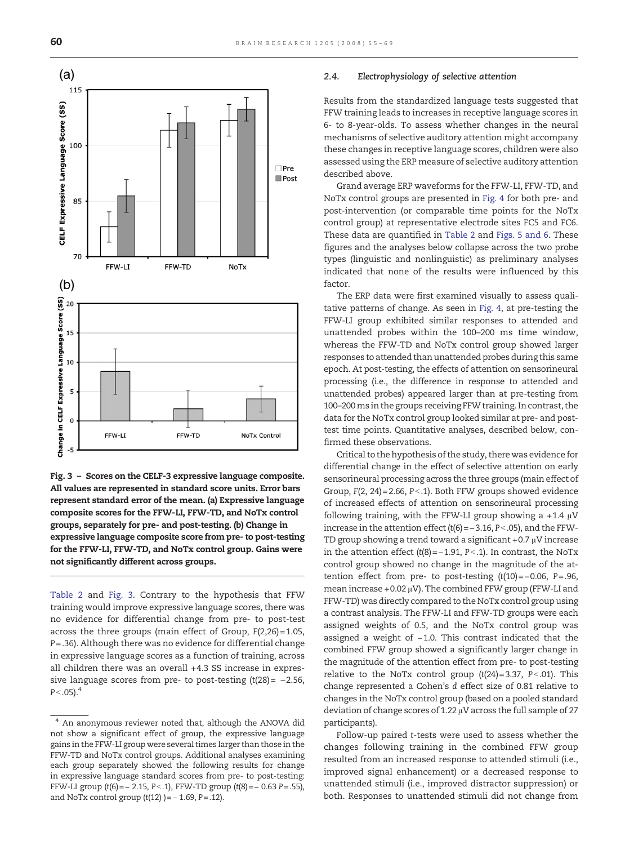

Fig. 3 – Scores on the CELF-3 expressive language composite. All values are represented in standard score units. Error bars represent standard error of the mean. (a) Expressive language composite scores for the FFW-LI, FFW-TD, and NoTx control groups, separately for pre- and post-testing. (b) Change in expressive language composite score from pre- to post-testing for the FFW-LI, FFW-TD, and NoTx control group. Gains were not significantly different across groups.

[Table 2](#page-4-0) and Fig. 3. Contrary to the hypothesis that FFW training would improve expressive language scores, there was no evidence for differential change from pre- to post-test across the three groups (main effect of Group, F(2,26)= 1.05, P=.36). Although there was no evidence for differential change in expressive language scores as a function of training, across all children there was an overall +4.3 SS increase in expressive language scores from pre- to post-testing  $(t(28) = -2.56$ ,  $P < .05$ ).<sup>4</sup>

# 2.4. Electrophysiology of selective attention

Results from the standardized language tests suggested that FFW training leads to increases in receptive language scores in 6- to 8-year-olds. To assess whether changes in the neural mechanisms of selective auditory attention might accompany these changes in receptive language scores, children were also assessed using the ERP measure of selective auditory attention described above.

Grand average ERP waveforms for the FFW-LI, FFW-TD, and NoTx control groups are presented in [Fig. 4](#page-6-0) for both pre- and post-intervention (or comparable time points for the NoTx control group) at representative electrode sites FC5 and FC6. These data are quantified in [Table 2](#page-4-0) and [Figs. 5 and 6](#page-7-0). These figures and the analyses below collapse across the two probe types (linguistic and nonlinguistic) as preliminary analyses indicated that none of the results were influenced by this factor.

The ERP data were first examined visually to assess qualitative patterns of change. As seen in [Fig. 4,](#page-6-0) at pre-testing the FFW-LI group exhibited similar responses to attended and unattended probes within the 100–200 ms time window, whereas the FFW-TD and NoTx control group showed larger responses to attended than unattended probes during this same epoch. At post-testing, the effects of attention on sensorineural processing (i.e., the difference in response to attended and unattended probes) appeared larger than at pre-testing from 100–200ms in the groups receiving FFW training. In contrast, the data for the NoTx control group looked similar at pre- and posttest time points. Quantitative analyses, described below, confirmed these observations.

Critical to the hypothesis of the study, there was evidence for differential change in the effect of selective attention on early sensorineural processing across the three groups (main effect of Group,  $F(2, 24) = 2.66$ ,  $P < 1$ ). Both FFW groups showed evidence of increased effects of attention on sensorineural processing following training, with the FFW-LI group showing a +1.4  $\mu$ V increase in the attention effect (t(6)=−3.16, Pb.05), and the FFW-TD group showing a trend toward a significant  $+0.7 \mu V$  increase in the attention effect  $(t(8)=-1.91, P<.1)$ . In contrast, the NoTx control group showed no change in the magnitude of the attention effect from pre- to post-testing  $(t(10)=-0.06, P=.96,$ mean increase +0.02 μV). The combined FFW group (FFW-LI and FFW-TD) was directly compared to the NoTx control group using a contrast analysis. The FFW-LI and FFW-TD groups were each assigned weights of 0.5, and the NoTx control group was assigned a weight of −1.0. This contrast indicated that the combined FFW group showed a significantly larger change in the magnitude of the attention effect from pre- to post-testing relative to the NoTx control group  $(t(24)=3.37, P<.01)$ . This change represented a Cohen's d effect size of 0.81 relative to changes in the NoTx control group (based on a pooled standard deviation of change scores of 1.22 μV across the full sample of 27 participants).

Follow-up paired t-tests were used to assess whether the changes following training in the combined FFW group resulted from an increased response to attended stimuli (i.e., improved signal enhancement) or a decreased response to unattended stimuli (i.e., improved distractor suppression) or both. Responses to unattended stimuli did not change from

<sup>4</sup> An anonymous reviewer noted that, although the ANOVA did not show a significant effect of group, the expressive language gains in the FFW-LI group were several times larger than those in the FFW-TD and NoTx control groups. Additional analyses examining each group separately showed the following results for change in expressive language standard scores from pre- to post-testing: FFW-LI group (t(6)=− 2.15, P < .1), FFW-TD group (t(8)=− 0.63 P=.55), and NoTx control group  $(t(12)) = -1.69, P = .12$ .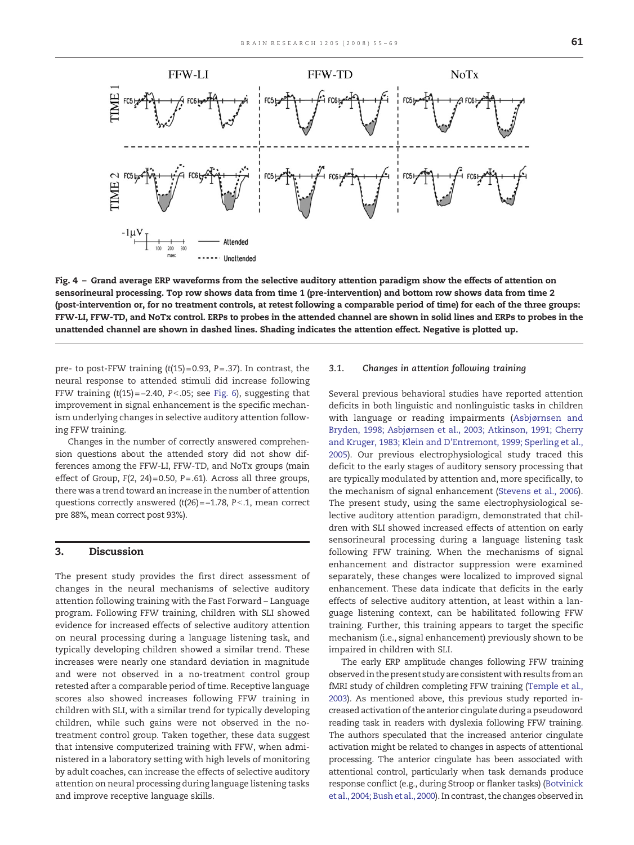<span id="page-6-0"></span>

Fig. 4 – Grand average ERP waveforms from the selective auditory attention paradigm show the effects of attention on sensorineural processing. Top row shows data from time 1 (pre-intervention) and bottom row shows data from time 2 (post-intervention or, for no treatment controls, at retest following a comparable period of time) for each of the three groups: FFW-LI, FFW-TD, and NoTx control. ERPs to probes in the attended channel are shown in solid lines and ERPs to probes in the unattended channel are shown in dashed lines. Shading indicates the attention effect. Negative is plotted up.

pre- to post-FFW training  $(t(15) = 0.93, P = .37)$ . In contrast, the neural response to attended stimuli did increase following FFW training  $(t(15) = -2.40, P < .05$ ; see [Fig. 6](#page-7-0)), suggesting that improvement in signal enhancement is the specific mechanism underlying changes in selective auditory attention following FFW training.

Changes in the number of correctly answered comprehension questions about the attended story did not show differences among the FFW-LI, FFW-TD, and NoTx groups (main effect of Group,  $F(2, 24) = 0.50$ ,  $P = .61$ ). Across all three groups, there was a trend toward an increase in the number of attention questions correctly answered (t(26) = -1.78, P<.1, mean correct pre 88%, mean correct post 93%).

# 3. Discussion

The present study provides the first direct assessment of changes in the neural mechanisms of selective auditory attention following training with the Fast Forward – Language program. Following FFW training, children with SLI showed evidence for increased effects of selective auditory attention on neural processing during a language listening task, and typically developing children showed a similar trend. These increases were nearly one standard deviation in magnitude and were not observed in a no-treatment control group retested after a comparable period of time. Receptive language scores also showed increases following FFW training in children with SLI, with a similar trend for typically developing children, while such gains were not observed in the notreatment control group. Taken together, these data suggest that intensive computerized training with FFW, when administered in a laboratory setting with high levels of monitoring by adult coaches, can increase the effects of selective auditory attention on neural processing during language listening tasks and improve receptive language skills.

#### 3.1. Changes in attention following training

Several previous behavioral studies have reported attention deficits in both linguistic and nonlinguistic tasks in children with language or reading impairments [\(Asbjørnsen and](#page-12-0) [Bryden, 1998; Asbjørnsen et al., 2003; Atkinson, 1991; Cherry](#page-12-0) [and Kruger, 1983; Klein and D'Entremont, 1999; Sperling et al.,](#page-12-0) [2005](#page-12-0)). Our previous electrophysiological study traced this deficit to the early stages of auditory sensory processing that are typically modulated by attention and, more specifically, to the mechanism of signal enhancement ([Stevens et al., 2006](#page-14-0)). The present study, using the same electrophysiological selective auditory attention paradigm, demonstrated that children with SLI showed increased effects of attention on early sensorineural processing during a language listening task following FFW training. When the mechanisms of signal enhancement and distractor suppression were examined separately, these changes were localized to improved signal enhancement. These data indicate that deficits in the early effects of selective auditory attention, at least within a language listening context, can be habilitated following FFW training. Further, this training appears to target the specific mechanism (i.e., signal enhancement) previously shown to be impaired in children with SLI.

The early ERP amplitude changes following FFW training observed in the present study are consistent with results from an fMRI study of children completing FFW training [\(Temple et al.,](#page-14-0) [2003\)](#page-14-0). As mentioned above, this previous study reported increased activation of the anterior cingulate during a pseudoword reading task in readers with dyslexia following FFW training. The authors speculated that the increased anterior cingulate activation might be related to changes in aspects of attentional processing. The anterior cingulate has been associated with attentional control, particularly when task demands produce response conflict (e.g., during Stroop or flanker tasks) ([Botvinick](#page-13-0) [et al., 2004; Bush et al., 2000\)](#page-13-0). In contrast, the changes observed in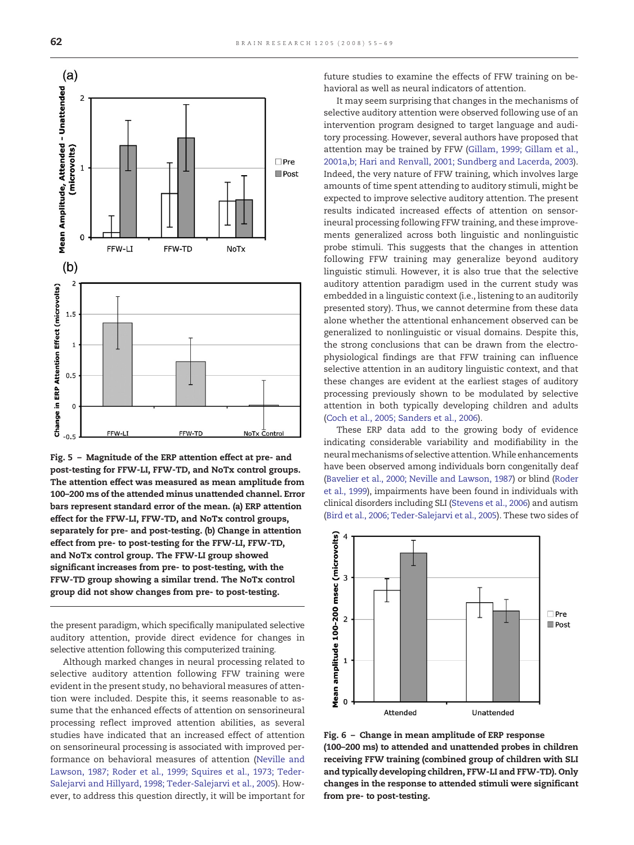<span id="page-7-0"></span>

Fig. 5 – Magnitude of the ERP attention effect at pre- and post-testing for FFW-LI, FFW-TD, and NoTx control groups. The attention effect was measured as mean amplitude from 100–200 ms of the attended minus unattended channel. Error bars represent standard error of the mean. (a) ERP attention effect for the FFW-LI, FFW-TD, and NoTx control groups, separately for pre- and post-testing. (b) Change in attention effect from pre- to post-testing for the FFW-LI, FFW-TD, and NoTx control group. The FFW-LI group showed significant increases from pre- to post-testing, with the FFW-TD group showing a similar trend. The NoTx control group did not show changes from pre- to post-testing.

the present paradigm, which specifically manipulated selective auditory attention, provide direct evidence for changes in selective attention following this computerized training.

Although marked changes in neural processing related to selective auditory attention following FFW training were evident in the present study, no behavioral measures of attention were included. Despite this, it seems reasonable to assume that the enhanced effects of attention on sensorineural processing reflect improved attention abilities, as several studies have indicated that an increased effect of attention on sensorineural processing is associated with improved performance on behavioral measures of attention ([Neville and](#page-13-0) [Lawson, 1987; Roder et al., 1999; Squires et al., 1973; Teder-](#page-13-0)[Salejarvi and Hillyard, 1998; Teder-Salejarvi et al., 2005\)](#page-13-0). However, to address this question directly, it will be important for future studies to examine the effects of FFW training on behavioral as well as neural indicators of attention.

It may seem surprising that changes in the mechanisms of selective auditory attention were observed following use of an intervention program designed to target language and auditory processing. However, several authors have proposed that attention may be trained by FFW [\(Gillam, 1999; Gillam et al.,](#page-13-0) [2001a,b; Hari and Renvall, 2001; Sundberg and Lacerda, 2003\)](#page-13-0). Indeed, the very nature of FFW training, which involves large amounts of time spent attending to auditory stimuli, might be expected to improve selective auditory attention. The present results indicated increased effects of attention on sensorineural processing following FFW training, and these improvements generalized across both linguistic and nonlinguistic probe stimuli. This suggests that the changes in attention following FFW training may generalize beyond auditory linguistic stimuli. However, it is also true that the selective auditory attention paradigm used in the current study was embedded in a linguistic context (i.e., listening to an auditorily presented story). Thus, we cannot determine from these data alone whether the attentional enhancement observed can be generalized to nonlinguistic or visual domains. Despite this, the strong conclusions that can be drawn from the electrophysiological findings are that FFW training can influence selective attention in an auditory linguistic context, and that these changes are evident at the earliest stages of auditory processing previously shown to be modulated by selective attention in both typically developing children and adults ([Coch et al., 2005; Sanders et al., 2006\)](#page-13-0).

These ERP data add to the growing body of evidence indicating considerable variability and modifiability in the neuralmechanisms of selective attention.While enhancements have been observed among individuals born congenitally deaf ([Bavelier et al., 2000; Neville and Lawson, 1987\)](#page-12-0) or blind [\(Roder](#page-13-0) [et al., 1999\)](#page-13-0), impairments have been found in individuals with clinical disorders including SLI [\(Stevens et al., 2006\)](#page-14-0) and autism ([Bird et al., 2006; Teder-Salejarvi et al., 2005\)](#page-12-0). These two sides of



Fig. 6 – Change in mean amplitude of ERP response (100–200 ms) to attended and unattended probes in children receiving FFW training (combined group of children with SLI and typically developing children, FFW-LI and FFW-TD). Only changes in the response to attended stimuli were significant from pre- to post-testing.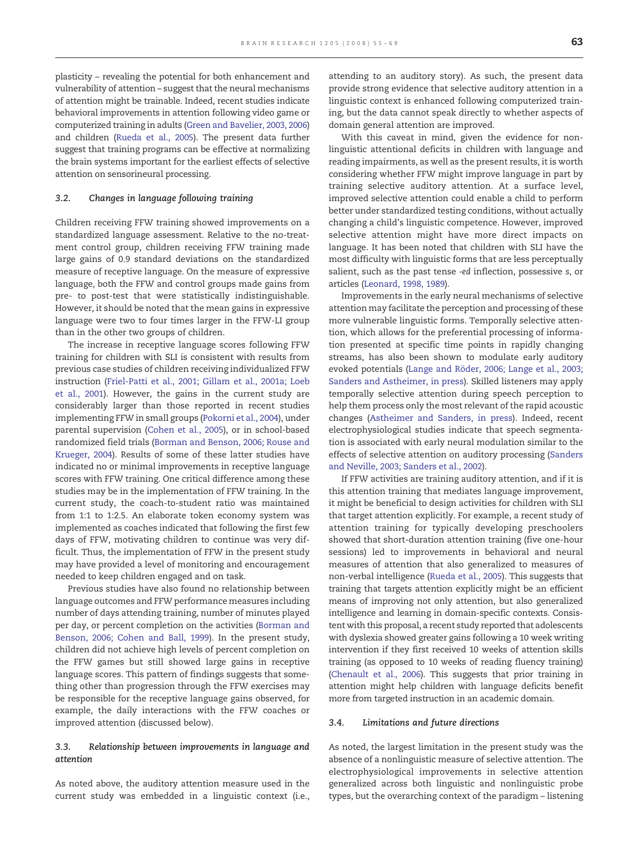plasticity – revealing the potential for both enhancement and vulnerability of attention – suggest that the neural mechanisms of attention might be trainable. Indeed, recent studies indicate behavioral improvements in attention following video game or computerized training in adults [\(Green and Bavelier, 2003, 2006\)](#page-13-0) and children [\(Rueda et al., 2005\)](#page-13-0). The present data further suggest that training programs can be effective at normalizing the brain systems important for the earliest effects of selective attention on sensorineural processing.

# 3.2. Changes in language following training

Children receiving FFW training showed improvements on a standardized language assessment. Relative to the no-treatment control group, children receiving FFW training made large gains of 0.9 standard deviations on the standardized measure of receptive language. On the measure of expressive language, both the FFW and control groups made gains from pre- to post-test that were statistically indistinguishable. However, it should be noted that the mean gains in expressive language were two to four times larger in the FFW-LI group than in the other two groups of children.

The increase in receptive language scores following FFW training for children with SLI is consistent with results from previous case studies of children receiving individualized FFW instruction ([Friel-Patti et al., 2001; Gillam et al., 2001a; Loeb](#page-13-0) [et al., 2001](#page-13-0)). However, the gains in the current study are considerably larger than those reported in recent studies implementing FFW in small groups ([Pokorni et al., 2004\)](#page-13-0), under parental supervision ([Cohen et al., 2005\)](#page-13-0), or in school-based randomized field trials [\(Borman and Benson, 2006; Rouse and](#page-13-0) [Krueger, 2004\)](#page-13-0). Results of some of these latter studies have indicated no or minimal improvements in receptive language scores with FFW training. One critical difference among these studies may be in the implementation of FFW training. In the current study, the coach-to-student ratio was maintained from 1:1 to 1:2.5. An elaborate token economy system was implemented as coaches indicated that following the first few days of FFW, motivating children to continue was very difficult. Thus, the implementation of FFW in the present study may have provided a level of monitoring and encouragement needed to keep children engaged and on task.

Previous studies have also found no relationship between language outcomes and FFW performance measures including number of days attending training, number of minutes played per day, or percent completion on the activities ([Borman and](#page-13-0) [Benson, 2006; Cohen and Ball, 1999](#page-13-0)). In the present study, children did not achieve high levels of percent completion on the FFW games but still showed large gains in receptive language scores. This pattern of findings suggests that something other than progression through the FFW exercises may be responsible for the receptive language gains observed, for example, the daily interactions with the FFW coaches or improved attention (discussed below).

# 3.3. Relationship between improvements in language and attention

As noted above, the auditory attention measure used in the current study was embedded in a linguistic context (i.e.,

attending to an auditory story). As such, the present data provide strong evidence that selective auditory attention in a linguistic context is enhanced following computerized training, but the data cannot speak directly to whether aspects of domain general attention are improved.

With this caveat in mind, given the evidence for nonlinguistic attentional deficits in children with language and reading impairments, as well as the present results, it is worth considering whether FFW might improve language in part by training selective auditory attention. At a surface level, improved selective attention could enable a child to perform better under standardized testing conditions, without actually changing a child's linguistic competence. However, improved selective attention might have more direct impacts on language. It has been noted that children with SLI have the most difficulty with linguistic forms that are less perceptually salient, such as the past tense -ed inflection, possessive s, or articles [\(Leonard, 1998, 1989\)](#page-13-0).

Improvements in the early neural mechanisms of selective attention may facilitate the perception and processing of these more vulnerable linguistic forms. Temporally selective attention, which allows for the preferential processing of information presented at specific time points in rapidly changing streams, has also been shown to modulate early auditory evoked potentials ([Lange and Röder, 2006; Lange et al., 2003;](#page-13-0) [Sanders and Astheimer, in press\)](#page-13-0). Skilled listeners may apply temporally selective attention during speech perception to help them process only the most relevant of the rapid acoustic changes ([Astheimer and Sanders, in press\)](#page-12-0). Indeed, recent electrophysiological studies indicate that speech segmentation is associated with early neural modulation similar to the effects of selective attention on auditory processing ([Sanders](#page-13-0) [and Neville, 2003; Sanders et al., 2002](#page-13-0)).

If FFW activities are training auditory attention, and if it is this attention training that mediates language improvement, it might be beneficial to design activities for children with SLI that target attention explicitly. For example, a recent study of attention training for typically developing preschoolers showed that short-duration attention training (five one-hour sessions) led to improvements in behavioral and neural measures of attention that also generalized to measures of non-verbal intelligence ([Rueda et al., 2005\)](#page-13-0). This suggests that training that targets attention explicitly might be an efficient means of improving not only attention, but also generalized intelligence and learning in domain-specific contexts. Consistent with this proposal, a recent study reported that adolescents with dyslexia showed greater gains following a 10 week writing intervention if they first received 10 weeks of attention skills training (as opposed to 10 weeks of reading fluency training) [\(Chenault et al., 2006](#page-13-0)). This suggests that prior training in attention might help children with language deficits benefit more from targeted instruction in an academic domain.

#### 3.4. Limitations and future directions

As noted, the largest limitation in the present study was the absence of a nonlinguistic measure of selective attention. The electrophysiological improvements in selective attention generalized across both linguistic and nonlinguistic probe types, but the overarching context of the paradigm – listening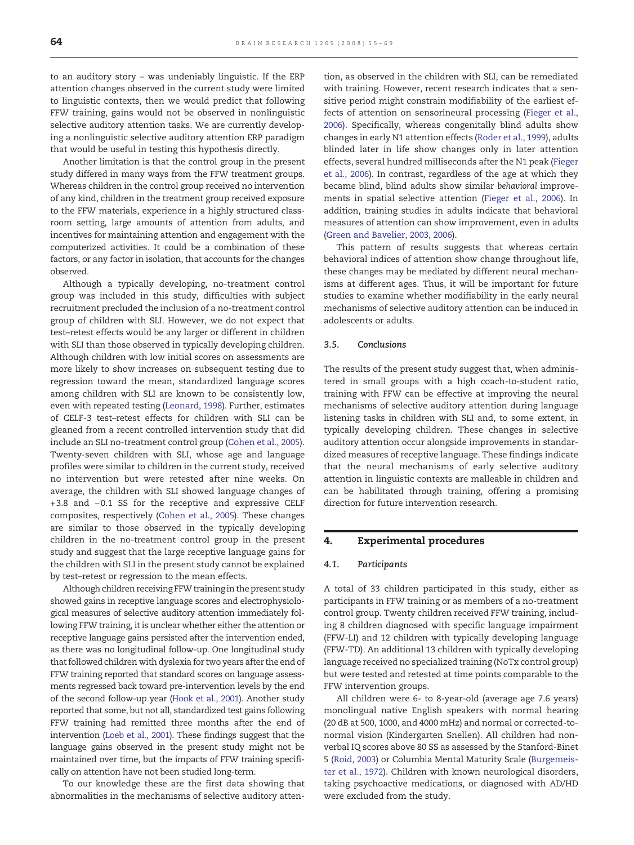to an auditory story – was undeniably linguistic. If the ERP attention changes observed in the current study were limited to linguistic contexts, then we would predict that following FFW training, gains would not be observed in nonlinguistic selective auditory attention tasks. We are currently developing a nonlinguistic selective auditory attention ERP paradigm that would be useful in testing this hypothesis directly.

Another limitation is that the control group in the present study differed in many ways from the FFW treatment groups. Whereas children in the control group received no intervention of any kind, children in the treatment group received exposure to the FFW materials, experience in a highly structured classroom setting, large amounts of attention from adults, and incentives for maintaining attention and engagement with the computerized activities. It could be a combination of these factors, or any factor in isolation, that accounts for the changes observed.

Although a typically developing, no-treatment control group was included in this study, difficulties with subject recruitment precluded the inclusion of a no-treatment control group of children with SLI. However, we do not expect that test–retest effects would be any larger or different in children with SLI than those observed in typically developing children. Although children with low initial scores on assessments are more likely to show increases on subsequent testing due to regression toward the mean, standardized language scores among children with SLI are known to be consistently low, even with repeated testing [\(Leonard, 1998\)](#page-13-0). Further, estimates of CELF-3 test–retest effects for children with SLI can be gleaned from a recent controlled intervention study that did include an SLI no-treatment control group [\(Cohen et al., 2005\)](#page-13-0). Twenty-seven children with SLI, whose age and language profiles were similar to children in the current study, received no intervention but were retested after nine weeks. On average, the children with SLI showed language changes of +3.8 and −0.1 SS for the receptive and expressive CELF composites, respectively [\(Cohen et al., 2005](#page-13-0)). These changes are similar to those observed in the typically developing children in the no-treatment control group in the present study and suggest that the large receptive language gains for the children with SLI in the present study cannot be explained by test–retest or regression to the mean effects.

Although children receiving FFW training in the present study showed gains in receptive language scores and electrophysiological measures of selective auditory attention immediately following FFW training, it is unclear whether either the attention or receptive language gains persisted after the intervention ended, as there was no longitudinal follow-up. One longitudinal study that followed children with dyslexia for two years after the end of FFW training reported that standard scores on language assessments regressed back toward pre-intervention levels by the end of the second follow-up year [\(Hook et al., 2001\)](#page-13-0). Another study reported that some, but not all, standardized test gains following FFW training had remitted three months after the end of intervention [\(Loeb et al., 2001](#page-13-0)). These findings suggest that the language gains observed in the present study might not be maintained over time, but the impacts of FFW training specifically on attention have not been studied long-term.

To our knowledge these are the first data showing that abnormalities in the mechanisms of selective auditory attention, as observed in the children with SLI, can be remediated with training. However, recent research indicates that a sensitive period might constrain modifiability of the earliest effects of attention on sensorineural processing [\(Fieger et al.,](#page-13-0) [2006\)](#page-13-0). Specifically, whereas congenitally blind adults show changes in early N1 attention effects ([Roder et al., 1999\)](#page-13-0), adults blinded later in life show changes only in later attention effects, several hundred milliseconds after the N1 peak [\(Fieger](#page-13-0) [et al., 2006\)](#page-13-0). In contrast, regardless of the age at which they became blind, blind adults show similar behavioral improvements in spatial selective attention [\(Fieger et al., 2006\)](#page-13-0). In addition, training studies in adults indicate that behavioral measures of attention can show improvement, even in adults ([Green and Bavelier, 2003, 2006\)](#page-13-0).

This pattern of results suggests that whereas certain behavioral indices of attention show change throughout life, these changes may be mediated by different neural mechanisms at different ages. Thus, it will be important for future studies to examine whether modifiability in the early neural mechanisms of selective auditory attention can be induced in adolescents or adults.

# 3.5. Conclusions

The results of the present study suggest that, when administered in small groups with a high coach-to-student ratio, training with FFW can be effective at improving the neural mechanisms of selective auditory attention during language listening tasks in children with SLI and, to some extent, in typically developing children. These changes in selective auditory attention occur alongside improvements in standardized measures of receptive language. These findings indicate that the neural mechanisms of early selective auditory attention in linguistic contexts are malleable in children and can be habilitated through training, offering a promising direction for future intervention research.

#### 4. Experimental procedures

#### 4.1. Participants

A total of 33 children participated in this study, either as participants in FFW training or as members of a no-treatment control group. Twenty children received FFW training, including 8 children diagnosed with specific language impairment (FFW-LI) and 12 children with typically developing language (FFW-TD). An additional 13 children with typically developing language received no specialized training (NoTx control group) but were tested and retested at time points comparable to the FFW intervention groups.

All children were 6- to 8-year-old (average age 7.6 years) monolingual native English speakers with normal hearing (20 dB at 500, 1000, and 4000 mHz) and normal or corrected-tonormal vision (Kindergarten Snellen). All children had nonverbal IQ scores above 80 SS as assessed by the Stanford-Binet 5 ([Roid, 2003](#page-13-0)) or Columbia Mental Maturity Scale [\(Burgemeis](#page-13-0)[ter et al., 1972](#page-13-0)). Children with known neurological disorders, taking psychoactive medications, or diagnosed with AD/HD were excluded from the study.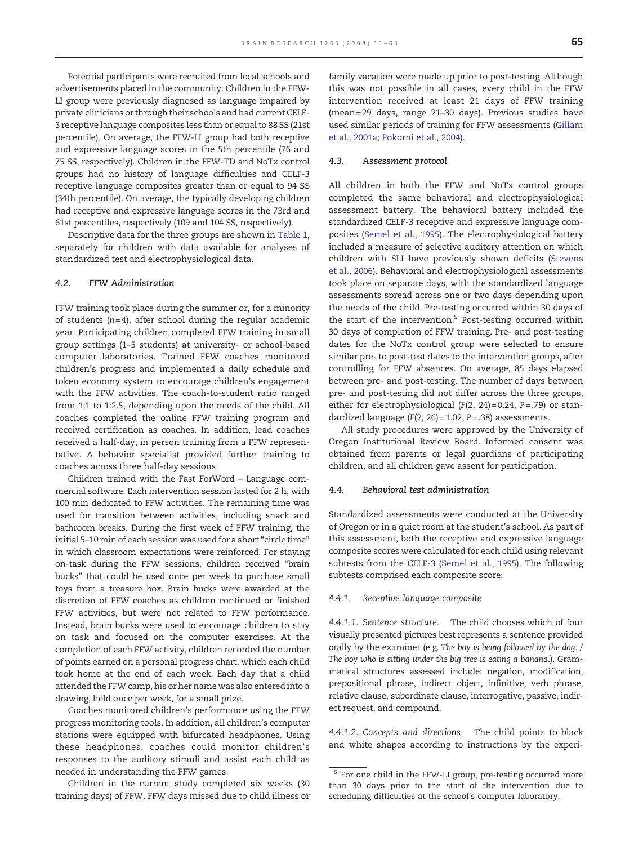Potential participants were recruited from local schools and advertisements placed in the community. Children in the FFW-LI group were previously diagnosed as language impaired by private clinicians or through their schools and had current CELF-3 receptive language composites less than or equal to 88 SS (21st percentile). On average, the FFW-LI group had both receptive and expressive language scores in the 5th percentile (76 and 75 SS, respectively). Children in the FFW-TD and NoTx control groups had no history of language difficulties and CELF-3 receptive language composites greater than or equal to 94 SS (34th percentile). On average, the typically developing children had receptive and expressive language scores in the 73rd and 61st percentiles, respectively (109 and 104 SS, respectively).

Descriptive data for the three groups are shown in [Table 1,](#page-4-0) separately for children with data available for analyses of standardized test and electrophysiological data.

#### 4.2. FFW Administration

FFW training took place during the summer or, for a minority of students ( $n=4$ ), after school during the regular academic year. Participating children completed FFW training in small group settings (1–5 students) at university- or school-based computer laboratories. Trained FFW coaches monitored children's progress and implemented a daily schedule and token economy system to encourage children's engagement with the FFW activities. The coach-to-student ratio ranged from 1:1 to 1:2.5, depending upon the needs of the child. All coaches completed the online FFW training program and received certification as coaches. In addition, lead coaches received a half-day, in person training from a FFW representative. A behavior specialist provided further training to coaches across three half-day sessions.

Children trained with the Fast ForWord – Language commercial software. Each intervention session lasted for 2 h, with 100 min dedicated to FFW activities. The remaining time was used for transition between activities, including snack and bathroom breaks. During the first week of FFW training, the initial 5–10min of each session was used for a short "circle time" in which classroom expectations were reinforced. For staying on-task during the FFW sessions, children received "brain bucks" that could be used once per week to purchase small toys from a treasure box. Brain bucks were awarded at the discretion of FFW coaches as children continued or finished FFW activities, but were not related to FFW performance. Instead, brain bucks were used to encourage children to stay on task and focused on the computer exercises. At the completion of each FFW activity, children recorded the number of points earned on a personal progress chart, which each child took home at the end of each week. Each day that a child attended the FFW camp, his or her name was also entered into a drawing, held once per week, for a small prize.

Coaches monitored children's performance using the FFW progress monitoring tools. In addition, all children's computer stations were equipped with bifurcated headphones. Using these headphones, coaches could monitor children's responses to the auditory stimuli and assist each child as needed in understanding the FFW games.

Children in the current study completed six weeks (30 training days) of FFW. FFW days missed due to child illness or family vacation were made up prior to post-testing. Although this was not possible in all cases, every child in the FFW intervention received at least 21 days of FFW training (mean= 29 days, range 21–30 days). Previous studies have used similar periods of training for FFW assessments [\(Gillam](#page-13-0) [et al., 2001a; Pokorni et al., 2004](#page-13-0)).

#### 4.3. Assessment protocol

All children in both the FFW and NoTx control groups completed the same behavioral and electrophysiological assessment battery. The behavioral battery included the standardized CELF-3 receptive and expressive language composites [\(Semel et al., 1995\)](#page-13-0). The electrophysiological battery included a measure of selective auditory attention on which children with SLI have previously shown deficits ([Stevens](#page-14-0) [et al., 2006](#page-14-0)). Behavioral and electrophysiological assessments took place on separate days, with the standardized language assessments spread across one or two days depending upon the needs of the child. Pre-testing occurred within 30 days of the start of the intervention.<sup>5</sup> Post-testing occurred within 30 days of completion of FFW training. Pre- and post-testing dates for the NoTx control group were selected to ensure similar pre- to post-test dates to the intervention groups, after controlling for FFW absences. On average, 85 days elapsed between pre- and post-testing. The number of days between pre- and post-testing did not differ across the three groups, either for electrophysiological  $(F(2, 24)=0.24, P=.79)$  or standardized language  $(F(2, 26) = 1.02, P = .38)$  assessments.

All study procedures were approved by the University of Oregon Institutional Review Board. Informed consent was obtained from parents or legal guardians of participating children, and all children gave assent for participation.

# 4.4. Behavioral test administration

Standardized assessments were conducted at the University of Oregon or in a quiet room at the student's school. As part of this assessment, both the receptive and expressive language composite scores were calculated for each child using relevant subtests from the CELF-3 [\(Semel et al., 1995](#page-13-0)). The following subtests comprised each composite score:

#### 4.4.1. Receptive language composite

4.4.1.1. Sentence structure. The child chooses which of four visually presented pictures best represents a sentence provided orally by the examiner (e.g. The boy is being followed by the dog. / The boy who is sitting under the big tree is eating a banana.). Grammatical structures assessed include: negation, modification, prepositional phrase, indirect object, infinitive, verb phrase, relative clause, subordinate clause, interrogative, passive, indirect request, and compound.

4.4.1.2. Concepts and directions. The child points to black and white shapes according to instructions by the experi-

<sup>&</sup>lt;sup>5</sup> For one child in the FFW-LI group, pre-testing occurred more than 30 days prior to the start of the intervention due to scheduling difficulties at the school's computer laboratory.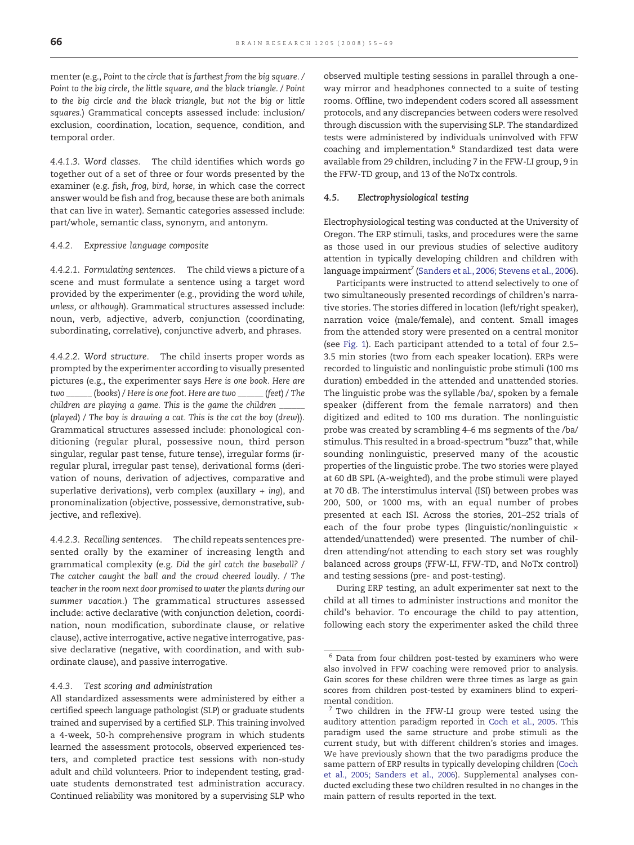menter (e.g., Point to the circle that is farthest from the big square. / Point to the big circle, the little square, and the black triangle. / Point to the big circle and the black triangle, but not the big or little squares.) Grammatical concepts assessed include: inclusion/ exclusion, coordination, location, sequence, condition, and temporal order.

4.4.1.3. Word classes. The child identifies which words go together out of a set of three or four words presented by the examiner (e.g. fish, frog, bird, horse, in which case the correct answer would be fish and frog, because these are both animals that can live in water). Semantic categories assessed include: part/whole, semantic class, synonym, and antonym.

# 4.4.2. Expressive language composite

4.4.2.1. Formulating sentences. The child views a picture of a scene and must formulate a sentence using a target word provided by the experimenter (e.g., providing the word while, unless, or although). Grammatical structures assessed include: noun, verb, adjective, adverb, conjunction (coordinating, subordinating, correlative), conjunctive adverb, and phrases.

4.4.2.2. Word structure. The child inserts proper words as prompted by the experimenter according to visually presented pictures (e.g., the experimenter says Here is one book. Here are two \_\_\_\_\_\_ (books) / Here is one foot. Here are two \_\_\_\_\_\_ (feet) / The children are playing a game. This is the game the children (played) / The boy is drawing a cat. This is the cat the boy (drew)). Grammatical structures assessed include: phonological conditioning (regular plural, possessive noun, third person singular, regular past tense, future tense), irregular forms (irregular plural, irregular past tense), derivational forms (derivation of nouns, derivation of adjectives, comparative and superlative derivations), verb complex (auxillary  $+$  ing), and pronominalization (objective, possessive, demonstrative, subjective, and reflexive).

4.4.2.3. Recalling sentences. The child repeats sentences presented orally by the examiner of increasing length and grammatical complexity (e.g. Did the girl catch the baseball? / The catcher caught the ball and the crowd cheered loudly. / The teacher in the room next door promised to water the plants during our summer vacation.) The grammatical structures assessed include: active declarative (with conjunction deletion, coordination, noun modification, subordinate clause, or relative clause), active interrogative, active negative interrogative, passive declarative (negative, with coordination, and with subordinate clause), and passive interrogative.

#### 4.4.3. Test scoring and administration

observed multiple testing sessions in parallel through a oneway mirror and headphones connected to a suite of testing rooms. Offline, two independent coders scored all assessment protocols, and any discrepancies between coders were resolved through discussion with the supervising SLP. The standardized tests were administered by individuals uninvolved with FFW coaching and implementation.<sup>6</sup> Standardized test data were available from 29 children, including 7 in the FFW-LI group, 9 in the FFW-TD group, and 13 of the NoTx controls.

# 4.5. Electrophysiological testing

Electrophysiological testing was conducted at the University of Oregon. The ERP stimuli, tasks, and procedures were the same as those used in our previous studies of selective auditory attention in typically developing children and children with language impairment<sup>7</sup> [\(Sanders et al., 2006; Stevens et al., 2006\)](#page-13-0).

Participants were instructed to attend selectively to one of two simultaneously presented recordings of children's narrative stories. The stories differed in location (left/right speaker), narration voice (male/female), and content. Small images from the attended story were presented on a central monitor (see [Fig. 1](#page-3-0)). Each participant attended to a total of four 2.5– 3.5 min stories (two from each speaker location). ERPs were recorded to linguistic and nonlinguistic probe stimuli (100 ms duration) embedded in the attended and unattended stories. The linguistic probe was the syllable /ba/, spoken by a female speaker (different from the female narrators) and then digitized and edited to 100 ms duration. The nonlinguistic probe was created by scrambling 4–6 ms segments of the /ba/ stimulus. This resulted in a broad-spectrum "buzz" that, while sounding nonlinguistic, preserved many of the acoustic properties of the linguistic probe. The two stories were played at 60 dB SPL (A-weighted), and the probe stimuli were played at 70 dB. The interstimulus interval (ISI) between probes was 200, 500, or 1000 ms, with an equal number of probes presented at each ISI. Across the stories, 201–252 trials of each of the four probe types (linguistic/nonlinguistic  $\times$ attended/unattended) were presented. The number of children attending/not attending to each story set was roughly balanced across groups (FFW-LI, FFW-TD, and NoTx control) and testing sessions (pre- and post-testing).

During ERP testing, an adult experimenter sat next to the child at all times to administer instructions and monitor the child's behavior. To encourage the child to pay attention, following each story the experimenter asked the child three

All standardized assessments were administered by either a certified speech language pathologist (SLP) or graduate students trained and supervised by a certified SLP. This training involved a 4-week, 50-h comprehensive program in which students learned the assessment protocols, observed experienced testers, and completed practice test sessions with non-study adult and child volunteers. Prior to independent testing, graduate students demonstrated test administration accuracy. Continued reliability was monitored by a supervising SLP who

 $6$  Data from four children post-tested by examiners who were also involved in FFW coaching were removed prior to analysis. Gain scores for these children were three times as large as gain scores from children post-tested by examiners blind to experimental condition.

 $7$  Two children in the FFW-LI group were tested using the auditory attention paradigm reported in [Coch et al., 2005.](#page-13-0) This paradigm used the same structure and probe stimuli as the current study, but with different children's stories and images. We have previously shown that the two paradigms produce the same pattern of ERP results in typically developing children [\(Coch](#page-13-0) [et al., 2005; Sanders et al., 2006\)](#page-13-0). Supplemental analyses conducted excluding these two children resulted in no changes in the main pattern of results reported in the text.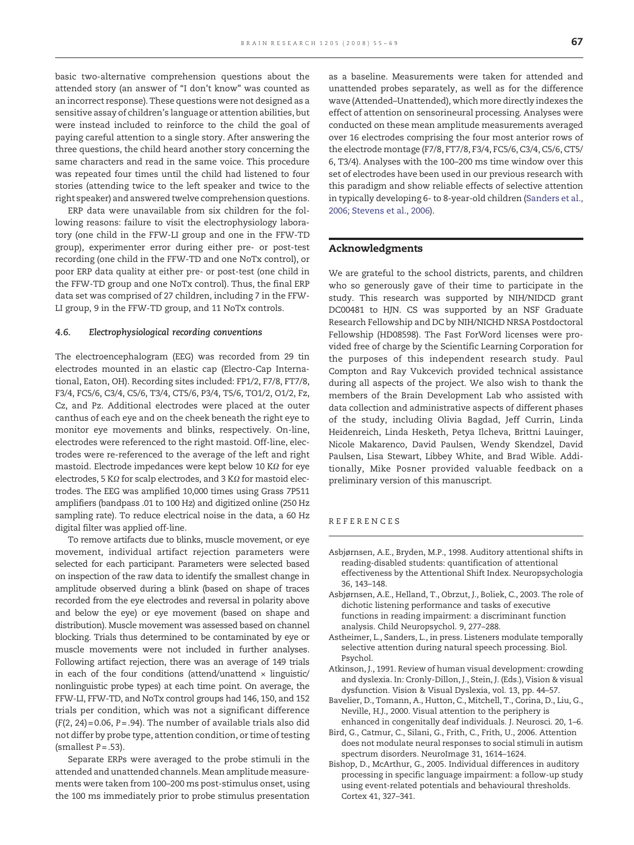<span id="page-12-0"></span>basic two-alternative comprehension questions about the attended story (an answer of "I don't know" was counted as an incorrect response). These questions were not designed as a sensitive assay of children's language or attention abilities, but were instead included to reinforce to the child the goal of paying careful attention to a single story. After answering the three questions, the child heard another story concerning the same characters and read in the same voice. This procedure was repeated four times until the child had listened to four stories (attending twice to the left speaker and twice to the right speaker) and answered twelve comprehension questions.

ERP data were unavailable from six children for the following reasons: failure to visit the electrophysiology laboratory (one child in the FFW-LI group and one in the FFW-TD group), experimenter error during either pre- or post-test recording (one child in the FFW-TD and one NoTx control), or poor ERP data quality at either pre- or post-test (one child in the FFW-TD group and one NoTx control). Thus, the final ERP data set was comprised of 27 children, including 7 in the FFW-LI group, 9 in the FFW-TD group, and 11 NoTx controls.

#### 4.6. Electrophysiological recording conventions

The electroencephalogram (EEG) was recorded from 29 tin electrodes mounted in an elastic cap (Electro-Cap International, Eaton, OH). Recording sites included: FP1/2, F7/8, FT7/8, F3/4, FC5/6, C3/4, C5/6, T3/4, CT5/6, P3/4, T5/6, TO1/2, O1/2, Fz, Cz, and Pz. Additional electrodes were placed at the outer canthus of each eye and on the cheek beneath the right eye to monitor eye movements and blinks, respectively. On-line, electrodes were referenced to the right mastoid. Off-line, electrodes were re-referenced to the average of the left and right mastoid. Electrode impedances were kept below 10 K $\Omega$  for eye electrodes, 5 K $\Omega$  for scalp electrodes, and 3 K $\Omega$  for mastoid electrodes. The EEG was amplified 10,000 times using Grass 7P511 amplifiers (bandpass .01 to 100 Hz) and digitized online (250 Hz sampling rate). To reduce electrical noise in the data, a 60 Hz digital filter was applied off-line.

To remove artifacts due to blinks, muscle movement, or eye movement, individual artifact rejection parameters were selected for each participant. Parameters were selected based on inspection of the raw data to identify the smallest change in amplitude observed during a blink (based on shape of traces recorded from the eye electrodes and reversal in polarity above and below the eye) or eye movement (based on shape and distribution). Muscle movement was assessed based on channel blocking. Trials thus determined to be contaminated by eye or muscle movements were not included in further analyses. Following artifact rejection, there was an average of 149 trials in each of the four conditions (attend/unattend  $\times$  linguistic/ nonlinguistic probe types) at each time point. On average, the FFW-LI, FFW-TD, and NoTx control groups had 146, 150, and 152 trials per condition, which was not a significant difference  $(F(2, 24)=0.06, P=.94)$ . The number of available trials also did not differ by probe type, attention condition, or time of testing (smallest  $P = .53$ ).

Separate ERPs were averaged to the probe stimuli in the attended and unattended channels. Mean amplitude measurements were taken from 100–200 ms post-stimulus onset, using the 100 ms immediately prior to probe stimulus presentation

as a baseline. Measurements were taken for attended and unattended probes separately, as well as for the difference wave (Attended–Unattended), which more directly indexes the effect of attention on sensorineural processing. Analyses were conducted on these mean amplitude measurements averaged over 16 electrodes comprising the four most anterior rows of the electrode montage (F7/8, FT7/8, F3/4, FC5/6, C3/4, C5/6, CT5/ 6, T3/4). Analyses with the 100–200 ms time window over this set of electrodes have been used in our previous research with this paradigm and show reliable effects of selective attention in typically developing 6- to 8-year-old children ([Sanders et al.,](#page-13-0) [2006; Stevens et al., 2006\)](#page-13-0).

# Acknowledgments

We are grateful to the school districts, parents, and children who so generously gave of their time to participate in the study. This research was supported by NIH/NIDCD grant DC00481 to HJN. CS was supported by an NSF Graduate Research Fellowship and DC by NIH/NICHD NRSA Postdoctoral Fellowship (HD08598). The Fast ForWord licenses were provided free of charge by the Scientific Learning Corporation for the purposes of this independent research study. Paul Compton and Ray Vukcevich provided technical assistance during all aspects of the project. We also wish to thank the members of the Brain Development Lab who assisted with data collection and administrative aspects of different phases of the study, including Olivia Bagdad, Jeff Currin, Linda Heidenreich, Linda Hesketh, Petya Ilcheva, Brittni Lauinger, Nicole Makarenco, David Paulsen, Wendy Skendzel, David Paulsen, Lisa Stewart, Libbey White, and Brad Wible. Additionally, Mike Posner provided valuable feedback on a preliminary version of this manuscript.

## REFERENCES

- Asbjørnsen, A.E., Bryden, M.P., 1998. Auditory attentional shifts in reading-disabled students: quantification of attentional effectiveness by the Attentional Shift Index. Neuropsychologia 36, 143–148.
- Asbjørnsen, A.E., Helland, T., Obrzut, J., Boliek, C., 2003. The role of dichotic listening performance and tasks of executive functions in reading impairment: a discriminant function analysis. Child Neuropsychol. 9, 277–288.
- Astheimer, L., Sanders, L., in press. Listeners modulate temporally selective attention during natural speech processing. Biol. Psychol.
- Atkinson, J., 1991. Review of human visual development: crowding and dyslexia. In: Cronly-Dillon, J., Stein, J. (Eds.), Vision & visual dysfunction. Vision & Visual Dyslexia, vol. 13, pp. 44–57.
- Bavelier, D., Tomann, A., Hutton, C., Mitchell, T., Corina, D., Liu, G., Neville, H.J., 2000. Visual attention to the periphery is enhanced in congenitally deaf individuals. J. Neurosci. 20, 1–6.
- Bird, G., Catmur, C., Silani, G., Frith, C., Frith, U., 2006. Attention does not modulate neural responses to social stimuli in autism spectrum disorders. NeuroImage 31, 1614–1624.
- Bishop, D., McArthur, G., 2005. Individual differences in auditory processing in specific language impairment: a follow-up study using event-related potentials and behavioural thresholds. Cortex 41, 327–341.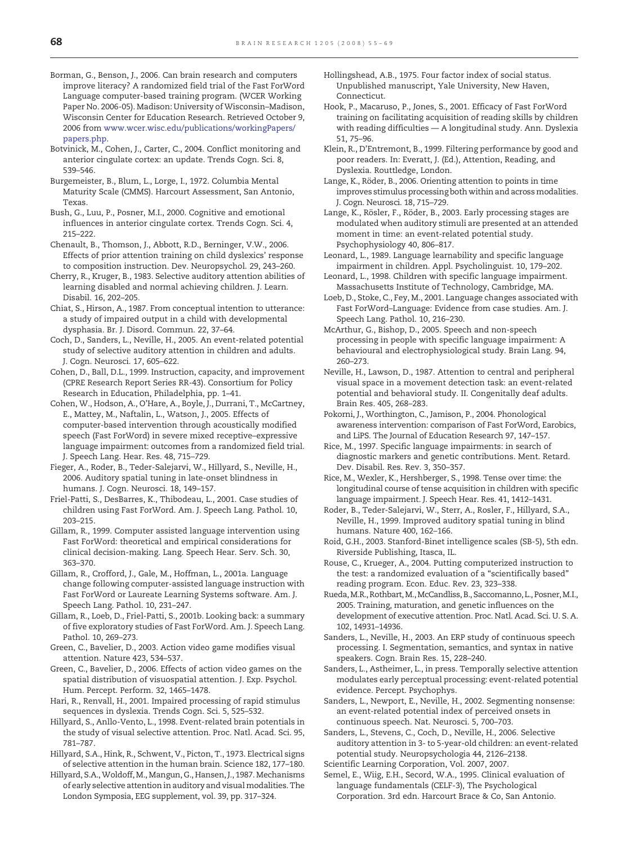- <span id="page-13-0"></span>Borman, G., Benson, J., 2006. Can brain research and computers improve literacy? A randomized field trial of the Fast ForWord Language computer-based training program. (WCER Working Paper No. 2006-05). Madison: University of Wisconsin–Madison, Wisconsin Center for Education Research. Retrieved October 9, 2006 from [www.wcer.wisc.edu/publications/workingPapers/](http://www.wcer.wisc.edu/publications/workingPapers/papers.php) [papers.php](http://www.wcer.wisc.edu/publications/workingPapers/papers.php).
- Botvinick, M., Cohen, J., Carter, C., 2004. Conflict monitoring and anterior cingulate cortex: an update. Trends Cogn. Sci. 8, 539–546.
- Burgemeister, B., Blum, L., Lorge, I., 1972. Columbia Mental Maturity Scale (CMMS). Harcourt Assessment, San Antonio, Texas.
- Bush, G., Luu, P., Posner, M.I., 2000. Cognitive and emotional influences in anterior cingulate cortex. Trends Cogn. Sci. 4, 215–222.
- Chenault, B., Thomson, J., Abbott, R.D., Berninger, V.W., 2006. Effects of prior attention training on child dyslexics' response to composition instruction. Dev. Neuropsychol. 29, 243–260.
- Cherry, R., Kruger, B., 1983. Selective auditory attention abilities of learning disabled and normal achieving children. J. Learn. Disabil. 16, 202–205.
- Chiat, S., Hirson, A., 1987. From conceptual intention to utterance: a study of impaired output in a child with developmental dysphasia. Br. J. Disord. Commun. 22, 37–64.
- Coch, D., Sanders, L., Neville, H., 2005. An event-related potential study of selective auditory attention in children and adults. J. Cogn. Neurosci. 17, 605–622.
- Cohen, D., Ball, D.L., 1999. Instruction, capacity, and improvement (CPRE Research Report Series RR-43). Consortium for Policy Research in Education, Philadelphia, pp. 1–41.
- Cohen, W., Hodson, A., O'Hare, A., Boyle, J., Durrani, T., McCartney, E., Mattey, M., Naftalin, L., Watson, J., 2005. Effects of computer-based intervention through acoustically modified speech (Fast ForWord) in severe mixed receptive–expressive language impairment: outcomes from a randomized field trial. J. Speech Lang. Hear. Res. 48, 715–729.
- Fieger, A., Roder, B., Teder-Salejarvi, W., Hillyard, S., Neville, H., 2006. Auditory spatial tuning in late-onset blindness in humans. J. Cogn. Neurosci. 18, 149–157.
- Friel-Patti, S., DesBarres, K., Thibodeau, L., 2001. Case studies of children using Fast ForWord. Am. J. Speech Lang. Pathol. 10, 203–215.
- Gillam, R., 1999. Computer assisted language intervention using Fast ForWord: theoretical and empirical considerations for clinical decision-making. Lang. Speech Hear. Serv. Sch. 30, 363–370.
- Gillam, R., Crofford, J., Gale, M., Hoffman, L., 2001a. Language change following computer-assisted language instruction with Fast ForWord or Laureate Learning Systems software. Am. J. Speech Lang. Pathol. 10, 231–247.
- Gillam, R., Loeb, D., Friel-Patti, S., 2001b. Looking back: a summary of five exploratory studies of Fast ForWord. Am. J. Speech Lang. Pathol. 10, 269–273.
- Green, C., Bavelier, D., 2003. Action video game modifies visual attention. Nature 423, 534–537.
- Green, C., Bavelier, D., 2006. Effects of action video games on the spatial distribution of visuospatial attention. J. Exp. Psychol. Hum. Percept. Perform. 32, 1465–1478.
- Hari, R., Renvall, H., 2001. Impaired processing of rapid stimulus sequences in dyslexia. Trends Cogn. Sci. 5, 525–532.
- Hillyard, S., Anllo-Vento, L., 1998. Event-related brain potentials in the study of visual selective attention. Proc. Natl. Acad. Sci. 95, 781–787.
- Hillyard, S.A., Hink, R., Schwent, V., Picton, T., 1973. Electrical signs of selective attention in the human brain. Science 182, 177–180.
- Hillyard, S.A.,Woldoff, M., Mangun, G., Hansen, J., 1987. Mechanisms of early selective attention in auditory and visualmodalities. The London Symposia, EEG supplement, vol. 39, pp. 317–324.
- Hollingshead, A.B., 1975. Four factor index of social status. Unpublished manuscript, Yale University, New Haven, Connecticut.
- Hook, P., Macaruso, P., Jones, S., 2001. Efficacy of Fast ForWord training on facilitating acquisition of reading skills by children with reading difficulties — A longitudinal study. Ann. Dyslexia 51, 75–96.
- Klein, R., D'Entremont, B., 1999. Filtering performance by good and poor readers. In: Everatt, J. (Ed.), Attention, Reading, and Dyslexia. Routtledge, London.
- Lange, K., Röder, B., 2006. Orienting attention to points in time improves stimulus processing both within and across modalities. J. Cogn. Neurosci. 18, 715–729.
- Lange, K., Rösler, F., Röder, B., 2003. Early processing stages are modulated when auditory stimuli are presented at an attended moment in time: an event-related potential study. Psychophysiology 40, 806–817.
- Leonard, L., 1989. Language learnability and specific language impairment in children. Appl. Psycholinguist. 10, 179–202.
- Leonard, L., 1998. Children with specific language impairment. Massachusetts Institute of Technology, Cambridge, MA.
- Loeb, D., Stoke, C., Fey, M., 2001. Language changes associated with Fast ForWord–Language: Evidence from case studies. Am. J. Speech Lang. Pathol. 10, 216–230.
- McArthur, G., Bishop, D., 2005. Speech and non-speech processing in people with specific language impairment: A behavioural and electrophysiological study. Brain Lang. 94, 260–273.
- Neville, H., Lawson, D., 1987. Attention to central and peripheral visual space in a movement detection task: an event-related potential and behavioral study. II. Congenitally deaf adults. Brain Res. 405, 268–283.
- Pokorni, J., Worthington, C., Jamison, P., 2004. Phonological awareness intervention: comparison of Fast ForWord, Earobics, and LiPS. The Journal of Education Research 97, 147–157.
- Rice, M., 1997. Specific language impairments: in search of diagnostic markers and genetic contributions. Ment. Retard. Dev. Disabil. Res. Rev. 3, 350–357.
- Rice, M., Wexler, K., Hershberger, S., 1998. Tense over time: the longitudinal course of tense acquisition in children with specific language impairment. J. Speech Hear. Res. 41, 1412–1431.
- Roder, B., Teder-Salejarvi, W., Sterr, A., Rosler, F., Hillyard, S.A., Neville, H., 1999. Improved auditory spatial tuning in blind humans. Nature 400, 162–166.
- Roid, G.H., 2003. Stanford-Binet intelligence scales (SB-5), 5th edn. Riverside Publishing, Itasca, IL.
- Rouse, C., Krueger, A., 2004. Putting computerized instruction to the test: a randomized evaluation of a "scientifically based" reading program. Econ. Educ. Rev. 23, 323–338.
- Rueda, M.R., Rothbart, M., McCandliss, B., Saccomanno, L., Posner, M.I., 2005. Training, maturation, and genetic influences on the development of executive attention. Proc. Natl. Acad. Sci. U. S. A. 102, 14931–14936.
- Sanders, L., Neville, H., 2003. An ERP study of continuous speech processing. I. Segmentation, semantics, and syntax in native speakers. Cogn. Brain Res. 15, 228–240.
- Sanders, L., Astheimer, L., in press. Temporally selective attention modulates early perceptual processing: event-related potential evidence. Percept. Psychophys.
- Sanders, L., Newport, E., Neville, H., 2002. Segmenting nonsense: an event-related potential index of perceived onsets in continuous speech. Nat. Neurosci. 5, 700–703.
- Sanders, L., Stevens, C., Coch, D., Neville, H., 2006. Selective auditory attention in 3- to 5-year-old children: an event-related potential study. Neuropsychologia 44, 2126–2138.
- Scientific Learning Corporation, Vol. 2007, 2007.
- Semel, E., Wiig, E.H., Secord, W.A., 1995. Clinical evaluation of language fundamentals (CELF-3), The Psychological Corporation. 3rd edn. Harcourt Brace & Co, San Antonio.